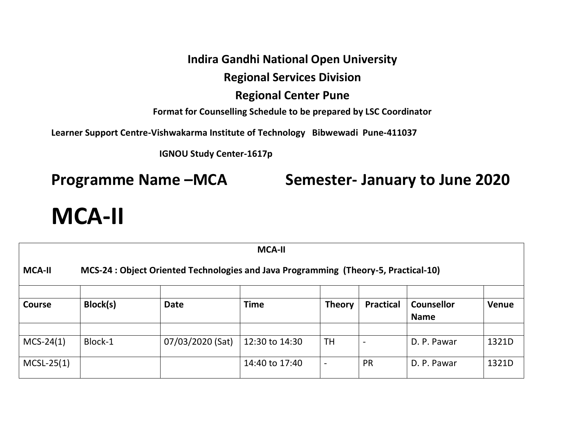#### **Indira Gandhi National Open University**

#### **Regional Services Division**

#### **Regional Center Pune**

**Format for Counselling Schedule to be prepared by LSC Coordinator**

**Learner Support Centre-Vishwakarma Institute of Technology Bibwewadi Pune-411037** 

 **IGNOU Study Center-1617p** 

**Programme Name –MCA Semester- January to June 2020**

# **MCA-II**

| <b>MCA-II</b>                                                                                        |          |                  |                |               |                  |                                  |              |  |
|------------------------------------------------------------------------------------------------------|----------|------------------|----------------|---------------|------------------|----------------------------------|--------------|--|
| MCS-24 : Object Oriented Technologies and Java Programming (Theory-5, Practical-10)<br><b>MCA-II</b> |          |                  |                |               |                  |                                  |              |  |
| <b>Course</b>                                                                                        | Block(s) | <b>Date</b>      | <b>Time</b>    | <b>Theory</b> | <b>Practical</b> | <b>Counsellor</b><br><b>Name</b> | <b>Venue</b> |  |
|                                                                                                      |          |                  |                |               |                  |                                  |              |  |
| $MCS-24(1)$                                                                                          | Block-1  | 07/03/2020 (Sat) | 12:30 to 14:30 | TH.           |                  | D. P. Pawar                      | 1321D        |  |
| $MCSL-25(1)$                                                                                         |          |                  | 14:40 to 17:40 |               | <b>PR</b>        | D. P. Pawar                      | 1321D        |  |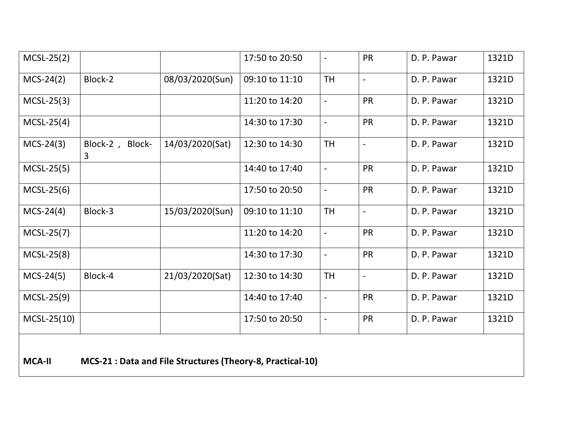| $MCSL-25(2)$  |                      |                                                            | 17:50 to 20:50 |                          | <b>PR</b>                | D. P. Pawar | 1321D |
|---------------|----------------------|------------------------------------------------------------|----------------|--------------------------|--------------------------|-------------|-------|
| $MCS-24(2)$   | Block-2              | 08/03/2020(Sun)                                            | 09:10 to 11:10 | <b>TH</b>                | $\overline{a}$           | D. P. Pawar | 1321D |
| $MCSL-25(3)$  |                      |                                                            | 11:20 to 14:20 | $\frac{1}{2}$            | <b>PR</b>                | D. P. Pawar | 1321D |
| $MCSL-25(4)$  |                      |                                                            | 14:30 to 17:30 | $\overline{\phantom{a}}$ | <b>PR</b>                | D. P. Pawar | 1321D |
| $MCS-24(3)$   | Block-2, Block-<br>3 | 14/03/2020(Sat)                                            | 12:30 to 14:30 | <b>TH</b>                | $\overline{\phantom{0}}$ | D. P. Pawar | 1321D |
| $MCSL-25(5)$  |                      |                                                            | 14:40 to 17:40 | $\frac{1}{2}$            | <b>PR</b>                | D. P. Pawar | 1321D |
| $MCSL-25(6)$  |                      |                                                            | 17:50 to 20:50 | $\overline{a}$           | <b>PR</b>                | D. P. Pawar | 1321D |
| $MCS-24(4)$   | Block-3              | 15/03/2020(Sun)                                            | 09:10 to 11:10 | <b>TH</b>                | $\overline{a}$           | D. P. Pawar | 1321D |
| $MCSL-25(7)$  |                      |                                                            | 11:20 to 14:20 | $\overline{a}$           | <b>PR</b>                | D. P. Pawar | 1321D |
| $MCSL-25(8)$  |                      |                                                            | 14:30 to 17:30 | $\blacksquare$           | <b>PR</b>                | D. P. Pawar | 1321D |
| $MCS-24(5)$   | Block-4              | 21/03/2020(Sat)                                            | 12:30 to 14:30 | <b>TH</b>                |                          | D. P. Pawar | 1321D |
| $MCSL-25(9)$  |                      |                                                            | 14:40 to 17:40 | $\blacksquare$           | PR                       | D. P. Pawar | 1321D |
| $MCSL-25(10)$ |                      |                                                            | 17:50 to 20:50 | $\overline{\phantom{a}}$ | PR                       | D. P. Pawar | 1321D |
| <b>MCA-II</b> |                      | MCS-21 : Data and File Structures (Theory-8, Practical-10) |                |                          |                          |             |       |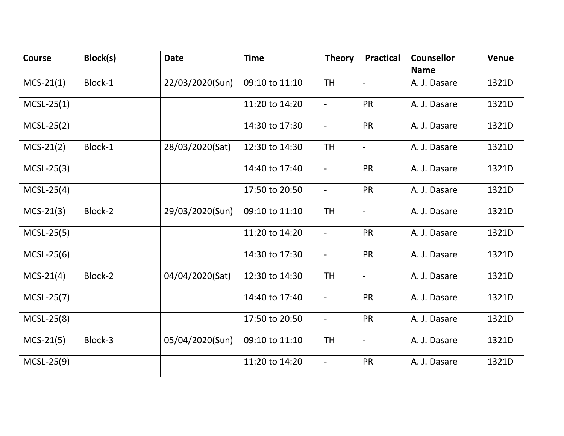| <b>Course</b> | Block(s) | <b>Date</b>     | <b>Time</b>    | <b>Theory</b>            | <b>Practical</b>         | <b>Counsellor</b><br><b>Name</b> | <b>Venue</b> |
|---------------|----------|-----------------|----------------|--------------------------|--------------------------|----------------------------------|--------------|
| $MCS-21(1)$   | Block-1  | 22/03/2020(Sun) | 09:10 to 11:10 | <b>TH</b>                | $\overline{a}$           | A. J. Dasare                     | 1321D        |
| $MCSL-25(1)$  |          |                 | 11:20 to 14:20 | $\overline{\phantom{a}}$ | <b>PR</b>                | A. J. Dasare                     | 1321D        |
| $MCSL-25(2)$  |          |                 | 14:30 to 17:30 | $\overline{\phantom{a}}$ | <b>PR</b>                | A. J. Dasare                     | 1321D        |
| $MCS-21(2)$   | Block-1  | 28/03/2020(Sat) | 12:30 to 14:30 | <b>TH</b>                | $\overline{\phantom{0}}$ | A. J. Dasare                     | 1321D        |
| $MCSL-25(3)$  |          |                 | 14:40 to 17:40 | $\overline{a}$           | PR                       | A. J. Dasare                     | 1321D        |
| $MCSL-25(4)$  |          |                 | 17:50 to 20:50 | $\overline{\phantom{a}}$ | <b>PR</b>                | A. J. Dasare                     | 1321D        |
| $MCS-21(3)$   | Block-2  | 29/03/2020(Sun) | 09:10 to 11:10 | <b>TH</b>                | $\frac{1}{2}$            | A. J. Dasare                     | 1321D        |
| $MCSL-25(5)$  |          |                 | 11:20 to 14:20 | $\overline{\phantom{a}}$ | <b>PR</b>                | A. J. Dasare                     | 1321D        |
| $MCSL-25(6)$  |          |                 | 14:30 to 17:30 | $\overline{a}$           | <b>PR</b>                | A. J. Dasare                     | 1321D        |
| $MCS-21(4)$   | Block-2  | 04/04/2020(Sat) | 12:30 to 14:30 | <b>TH</b>                | $\overline{\phantom{a}}$ | A. J. Dasare                     | 1321D        |
| $MCSL-25(7)$  |          |                 | 14:40 to 17:40 | $\blacksquare$           | <b>PR</b>                | A. J. Dasare                     | 1321D        |
| $MCSL-25(8)$  |          |                 | 17:50 to 20:50 | $\blacksquare$           | <b>PR</b>                | A. J. Dasare                     | 1321D        |
| $MCS-21(5)$   | Block-3  | 05/04/2020(Sun) | 09:10 to 11:10 | <b>TH</b>                | $\blacksquare$           | A. J. Dasare                     | 1321D        |
| $MCSL-25(9)$  |          |                 | 11:20 to 14:20 | $\overline{\phantom{0}}$ | PR                       | A. J. Dasare                     | 1321D        |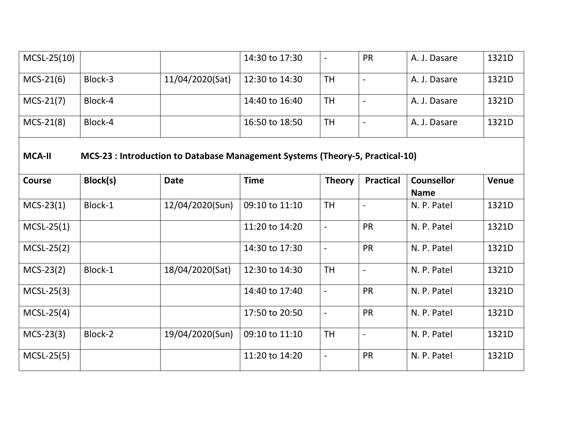| $MCSL-25(10)$ |          |                 | 14:30 to 17:30                                                                |                          | PR                       | A. J. Dasare                     | 1321D        |
|---------------|----------|-----------------|-------------------------------------------------------------------------------|--------------------------|--------------------------|----------------------------------|--------------|
| $MCS-21(6)$   | Block-3  | 11/04/2020(Sat) | 12:30 to 14:30                                                                | <b>TH</b>                | $\overline{\phantom{0}}$ | A. J. Dasare                     | 1321D        |
| $MCS-21(7)$   | Block-4  |                 | 14:40 to 16:40                                                                | <b>TH</b>                | $\overline{a}$           | A. J. Dasare                     | 1321D        |
| $MCS-21(8)$   | Block-4  |                 | 16:50 to 18:50                                                                | <b>TH</b>                | $\overline{a}$           | A. J. Dasare                     | 1321D        |
| <b>MCA-II</b> |          |                 | MCS-23 : Introduction to Database Management Systems (Theory-5, Practical-10) |                          |                          |                                  |              |
| <b>Course</b> | Block(s) | <b>Date</b>     | <b>Time</b>                                                                   | <b>Theory</b>            | <b>Practical</b>         | <b>Counsellor</b><br><b>Name</b> | <b>Venue</b> |
| $MCS-23(1)$   | Block-1  | 12/04/2020(Sun) | 09:10 to 11:10                                                                | <b>TH</b>                | $\overline{\phantom{a}}$ | N. P. Patel                      | 1321D        |
| $MCSL-25(1)$  |          |                 | 11:20 to 14:20                                                                | $\blacksquare$           | PR                       | N. P. Patel                      | 1321D        |
| $MCSL-25(2)$  |          |                 | 14:30 to 17:30                                                                | $\blacksquare$           | <b>PR</b>                | N. P. Patel                      | 1321D        |
| $MCS-23(2)$   | Block-1  | 18/04/2020(Sat) | 12:30 to 14:30                                                                | <b>TH</b>                | $\overline{a}$           | N. P. Patel                      | 1321D        |
| $MCSL-25(3)$  |          |                 | 14:40 to 17:40                                                                | $\overline{a}$           | <b>PR</b>                | N. P. Patel                      | 1321D        |
| $MCSL-25(4)$  |          |                 | 17:50 to 20:50                                                                | $\overline{\phantom{a}}$ | <b>PR</b>                | N. P. Patel                      | 1321D        |
| $MCS-23(3)$   | Block-2  | 19/04/2020(Sun) | 09:10 to 11:10                                                                | <b>TH</b>                | $\overline{\phantom{a}}$ | N. P. Patel                      | 1321D        |
| $MCSL-25(5)$  |          |                 | 11:20 to 14:20                                                                | $\overline{a}$           | PR                       | N. P. Patel                      | 1321D        |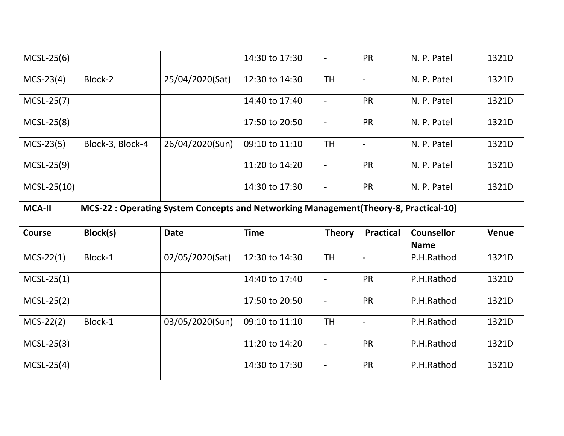| $MCSL-25(6)$                                                                                           |                  |                 | 14:30 to 17:30 |                          | <b>PR</b>         | N. P. Patel                      | 1321D        |  |  |
|--------------------------------------------------------------------------------------------------------|------------------|-----------------|----------------|--------------------------|-------------------|----------------------------------|--------------|--|--|
| $MCS-23(4)$                                                                                            | Block-2          | 25/04/2020(Sat) | 12:30 to 14:30 | <b>TH</b>                | $\blacksquare$    | N. P. Patel                      | 1321D        |  |  |
| $MCSL-25(7)$                                                                                           |                  |                 | 14:40 to 17:40 | $\overline{\phantom{a}}$ | PR                | N. P. Patel                      | 1321D        |  |  |
| $MCSL-25(8)$                                                                                           |                  |                 | 17:50 to 20:50 | $\blacksquare$           | PR                | N. P. Patel                      | 1321D        |  |  |
| $MCS-23(5)$                                                                                            | Block-3, Block-4 | 26/04/2020(Sun) | 09:10 to 11:10 | <b>TH</b>                | $\blacksquare$    | N. P. Patel                      | 1321D        |  |  |
| $MCSL-25(9)$                                                                                           |                  |                 | 11:20 to 14:20 | $\overline{\phantom{a}}$ | PR                | N. P. Patel                      | 1321D        |  |  |
| $MCSL-25(10)$                                                                                          |                  |                 | 14:30 to 17:30 | $\overline{\phantom{a}}$ | <b>PR</b>         | N. P. Patel                      | 1321D        |  |  |
| <b>MCA-II</b><br>MCS-22 : Operating System Concepts and Networking Management (Theory-8, Practical-10) |                  |                 |                |                          |                   |                                  |              |  |  |
|                                                                                                        |                  |                 |                |                          |                   |                                  |              |  |  |
| <b>Course</b>                                                                                          | Block(s)         | <b>Date</b>     | <b>Time</b>    | <b>Theory</b>            | <b>Practical</b>  | <b>Counsellor</b><br><b>Name</b> | <b>Venue</b> |  |  |
| $MCS-22(1)$                                                                                            | Block-1          | 02/05/2020(Sat) | 12:30 to 14:30 | <b>TH</b>                | $\overline{a}$    | P.H.Rathod                       | 1321D        |  |  |
| $MCSL-25(1)$                                                                                           |                  |                 | 14:40 to 17:40 | $\overline{\phantom{a}}$ | PR                | P.H.Rathod                       | 1321D        |  |  |
| $MCSL-25(2)$                                                                                           |                  |                 | 17:50 to 20:50 | $\blacksquare$           | PR                | P.H.Rathod                       | 1321D        |  |  |
| $MCS-22(2)$                                                                                            | Block-1          | 03/05/2020(Sun) | 09:10 to 11:10 | <b>TH</b>                | $\qquad \qquad -$ | P.H.Rathod                       | 1321D        |  |  |
| $MCSL-25(3)$                                                                                           |                  |                 | 11:20 to 14:20 | $\overline{\phantom{a}}$ | PR                | P.H.Rathod                       | 1321D        |  |  |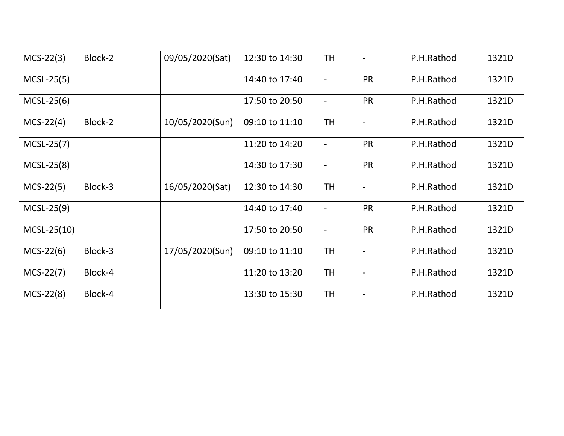| $MCS-22(3)$   | Block-2 | 09/05/2020(Sat) | 12:30 to 14:30 | <b>TH</b>                |                          | P.H.Rathod | 1321D |
|---------------|---------|-----------------|----------------|--------------------------|--------------------------|------------|-------|
| $MCSL-25(5)$  |         |                 | 14:40 to 17:40 | $\overline{\phantom{a}}$ | <b>PR</b>                | P.H.Rathod | 1321D |
| $MCSL-25(6)$  |         |                 | 17:50 to 20:50 | $\overline{\phantom{a}}$ | <b>PR</b>                | P.H.Rathod | 1321D |
| $MCS-22(4)$   | Block-2 | 10/05/2020(Sun) | 09:10 to 11:10 | <b>TH</b>                | $\overline{\phantom{a}}$ | P.H.Rathod | 1321D |
| $MCSL-25(7)$  |         |                 | 11:20 to 14:20 | $\blacksquare$           | <b>PR</b>                | P.H.Rathod | 1321D |
| $MCSL-25(8)$  |         |                 | 14:30 to 17:30 | $\overline{\phantom{a}}$ | <b>PR</b>                | P.H.Rathod | 1321D |
| $MCS-22(5)$   | Block-3 | 16/05/2020(Sat) | 12:30 to 14:30 | <b>TH</b>                | $\blacksquare$           | P.H.Rathod | 1321D |
| $MCSL-25(9)$  |         |                 | 14:40 to 17:40 | $\overline{\phantom{a}}$ | <b>PR</b>                | P.H.Rathod | 1321D |
| $MCSL-25(10)$ |         |                 | 17:50 to 20:50 | $\overline{\phantom{a}}$ | <b>PR</b>                | P.H.Rathod | 1321D |
| $MCS-22(6)$   | Block-3 | 17/05/2020(Sun) | 09:10 to 11:10 | <b>TH</b>                |                          | P.H.Rathod | 1321D |
| $MCS-22(7)$   | Block-4 |                 | 11:20 to 13:20 | <b>TH</b>                |                          | P.H.Rathod | 1321D |
| $MCS-22(8)$   | Block-4 |                 | 13:30 to 15:30 | <b>TH</b>                |                          | P.H.Rathod | 1321D |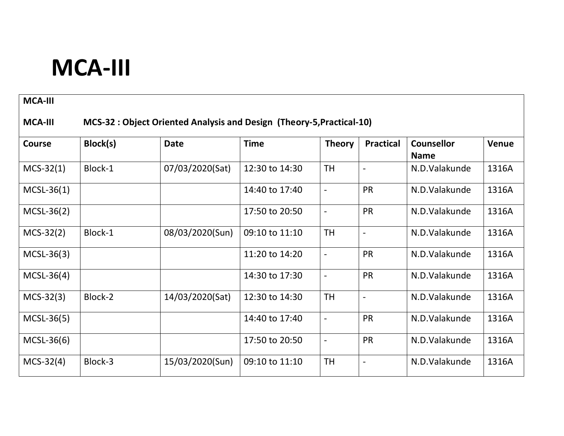# **MCA-III**

#### **MCA-III**

### **MCA-III MCS-32 : Object Oriented Analysis and Design (Theory-5,Practical-10)**

| Course       | Block(s) | <b>Date</b>     | <b>Time</b>    | <b>Theory</b>            | <b>Practical</b>         | <b>Counsellor</b> | Venue |
|--------------|----------|-----------------|----------------|--------------------------|--------------------------|-------------------|-------|
|              |          |                 |                |                          |                          | <b>Name</b>       |       |
| $MCS-32(1)$  | Block-1  | 07/03/2020(Sat) | 12:30 to 14:30 | <b>TH</b>                |                          | N.D.Valakunde     | 1316A |
| $MCSL-36(1)$ |          |                 | 14:40 to 17:40 | $\overline{\phantom{a}}$ | <b>PR</b>                | N.D.Valakunde     | 1316A |
| $MCSL-36(2)$ |          |                 | 17:50 to 20:50 | $\overline{\phantom{a}}$ | <b>PR</b>                | N.D. Valakunde    | 1316A |
| $MCS-32(2)$  | Block-1  | 08/03/2020(Sun) | 09:10 to 11:10 | <b>TH</b>                | $\overline{\phantom{a}}$ | N.D.Valakunde     | 1316A |
| $MCSL-36(3)$ |          |                 | 11:20 to 14:20 | $\overline{\phantom{a}}$ | <b>PR</b>                | N.D.Valakunde     | 1316A |
| $MCSL-36(4)$ |          |                 | 14:30 to 17:30 | $\overline{\phantom{a}}$ | <b>PR</b>                | N.D.Valakunde     | 1316A |
| $MCS-32(3)$  | Block-2  | 14/03/2020(Sat) | 12:30 to 14:30 | <b>TH</b>                | $\overline{\phantom{a}}$ | N.D.Valakunde     | 1316A |
| $MCSL-36(5)$ |          |                 | 14:40 to 17:40 | $\overline{\phantom{a}}$ | <b>PR</b>                | N.D.Valakunde     | 1316A |
| $MCSL-36(6)$ |          |                 | 17:50 to 20:50 | $\overline{\phantom{a}}$ | PR                       | N.D.Valakunde     | 1316A |
| $MCS-32(4)$  | Block-3  | 15/03/2020(Sun) | 09:10 to 11:10 | <b>TH</b>                | $\overline{\phantom{a}}$ | N.D.Valakunde     | 1316A |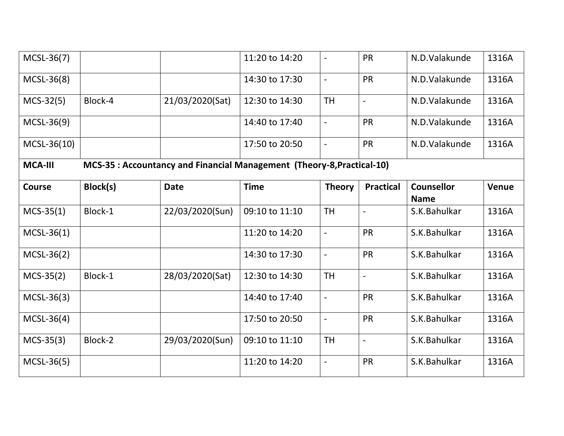| MCSL-36(7)     |          |                 | 11:20 to 14:20                                                         |                          | <b>PR</b>        | N.D.Valakunde                    | 1316A        |
|----------------|----------|-----------------|------------------------------------------------------------------------|--------------------------|------------------|----------------------------------|--------------|
| $MCSL-36(8)$   |          |                 | 14:30 to 17:30                                                         | $\blacksquare$           | <b>PR</b>        | N.D.Valakunde                    | 1316A        |
| $MCS-32(5)$    | Block-4  | 21/03/2020(Sat) | 12:30 to 14:30                                                         | <b>TH</b>                | $\overline{a}$   | N.D.Valakunde                    | 1316A        |
| $MCSL-36(9)$   |          |                 | 14:40 to 17:40                                                         | $\overline{a}$           | <b>PR</b>        | N.D.Valakunde                    | 1316A        |
| MCSL-36(10)    |          |                 | 17:50 to 20:50                                                         | $\overline{a}$           | <b>PR</b>        | N.D.Valakunde                    | 1316A        |
| <b>MCA-III</b> |          |                 | MCS-35 : Accountancy and Financial Management (Theory-8, Practical-10) |                          |                  |                                  |              |
| <b>Course</b>  | Block(s) | <b>Date</b>     | <b>Time</b>                                                            | <b>Theory</b>            | <b>Practical</b> | <b>Counsellor</b><br><b>Name</b> | <b>Venue</b> |
| $MCS-35(1)$    | Block-1  | 22/03/2020(Sun) | 09:10 to 11:10                                                         | <b>TH</b>                |                  | S.K.Bahulkar                     | 1316A        |
| $MCSL-36(1)$   |          |                 | 11:20 to 14:20                                                         | $\overline{a}$           | <b>PR</b>        | S.K.Bahulkar                     | 1316A        |
| $MCSL-36(2)$   |          |                 | 14:30 to 17:30                                                         | $\overline{a}$           | <b>PR</b>        | S.K.Bahulkar                     | 1316A        |
| $MCS-35(2)$    | Block-1  | 28/03/2020(Sat) | 12:30 to 14:30                                                         | <b>TH</b>                | $\overline{a}$   | S.K.Bahulkar                     | 1316A        |
| $MCSL-36(3)$   |          |                 | 14:40 to 17:40                                                         | $\frac{1}{2}$            | <b>PR</b>        | S.K.Bahulkar                     | 1316A        |
| $MCSL-36(4)$   |          |                 | 17:50 to 20:50                                                         | $\overline{\phantom{a}}$ | <b>PR</b>        | S.K.Bahulkar                     | 1316A        |
| $MCS-35(3)$    | Block-2  | 29/03/2020(Sun) | 09:10 to 11:10                                                         | <b>TH</b>                | $\overline{a}$   | S.K.Bahulkar                     | 1316A        |
| $MCSL-36(5)$   |          |                 | 11:20 to 14:20                                                         | $\overline{\phantom{a}}$ | PR               | S.K.Bahulkar                     | 1316A        |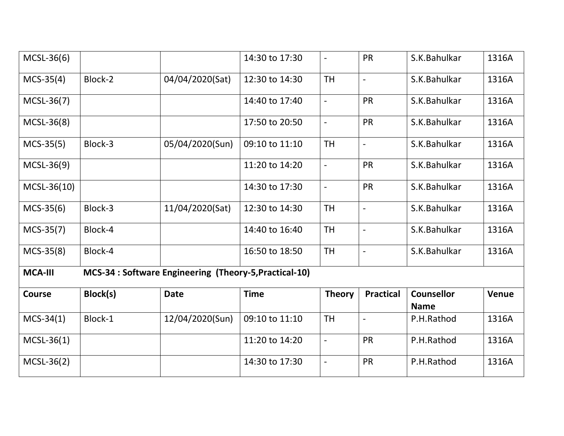| $MCSL-36(6)$   |          |                                                        | 14:30 to 17:30 |                          | <b>PR</b>        | S.K.Bahulkar                     | 1316A        |
|----------------|----------|--------------------------------------------------------|----------------|--------------------------|------------------|----------------------------------|--------------|
| $MCS-35(4)$    | Block-2  | 04/04/2020(Sat)                                        | 12:30 to 14:30 | <b>TH</b>                | $\overline{a}$   | S.K.Bahulkar                     | 1316A        |
| MCSL-36(7)     |          |                                                        | 14:40 to 17:40 | $\overline{\phantom{a}}$ | <b>PR</b>        | S.K.Bahulkar                     | 1316A        |
| MCSL-36(8)     |          |                                                        | 17:50 to 20:50 | $\overline{\phantom{a}}$ | <b>PR</b>        | S.K.Bahulkar                     | 1316A        |
| $MCS-35(5)$    | Block-3  | 05/04/2020(Sun)                                        | 09:10 to 11:10 | <b>TH</b>                | $\overline{a}$   | S.K.Bahulkar                     | 1316A        |
| $MCSL-36(9)$   |          |                                                        | 11:20 to 14:20 | $\blacksquare$           | <b>PR</b>        | S.K.Bahulkar                     | 1316A        |
| $MCSL-36(10)$  |          |                                                        | 14:30 to 17:30 | $\blacksquare$           | PR               | S.K.Bahulkar                     | 1316A        |
| $MCS-35(6)$    | Block-3  | 11/04/2020(Sat)                                        | 12:30 to 14:30 | <b>TH</b>                | $\overline{a}$   | S.K.Bahulkar                     | 1316A        |
| $MCS-35(7)$    | Block-4  |                                                        | 14:40 to 16:40 | <b>TH</b>                |                  | S.K.Bahulkar                     | 1316A        |
| $MCS-35(8)$    | Block-4  |                                                        | 16:50 to 18:50 | <b>TH</b>                | $\overline{a}$   | S.K.Bahulkar                     | 1316A        |
| <b>MCA-III</b> |          | MCS-34 : Software Engineering (Theory-5, Practical-10) |                |                          |                  |                                  |              |
| <b>Course</b>  | Block(s) | <b>Date</b>                                            | <b>Time</b>    | <b>Theory</b>            | <b>Practical</b> | <b>Counsellor</b><br><b>Name</b> | <b>Venue</b> |
| $MCS-34(1)$    | Block-1  | 12/04/2020(Sun)                                        | 09:10 to 11:10 | <b>TH</b>                | $\overline{a}$   | P.H.Rathod                       | 1316A        |
| $MCSL-36(1)$   |          |                                                        | 11:20 to 14:20 | $\blacksquare$           | <b>PR</b>        | P.H.Rathod                       | 1316A        |
| $MCSL-36(2)$   |          |                                                        | 14:30 to 17:30 | $\overline{a}$           | <b>PR</b>        | P.H.Rathod                       | 1316A        |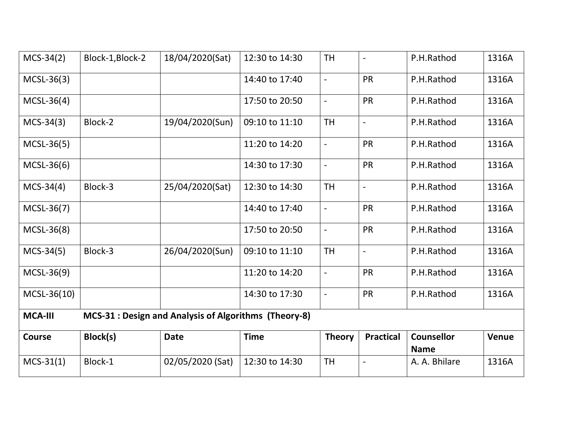| $MCS-34(2)$    | Block-1, Block-2 | 18/04/2020(Sat)                                       | 12:30 to 14:30 | <b>TH</b>                | $\overline{\phantom{a}}$ | P.H.Rathod                       | 1316A        |
|----------------|------------------|-------------------------------------------------------|----------------|--------------------------|--------------------------|----------------------------------|--------------|
| $MCSL-36(3)$   |                  |                                                       | 14:40 to 17:40 | $\overline{\phantom{a}}$ | <b>PR</b>                | P.H.Rathod                       | 1316A        |
| $MCSL-36(4)$   |                  |                                                       | 17:50 to 20:50 | $\overline{\phantom{a}}$ | PR                       | P.H.Rathod                       | 1316A        |
| $MCS-34(3)$    | Block-2          | 19/04/2020(Sun)                                       | 09:10 to 11:10 | <b>TH</b>                | $\overline{\phantom{a}}$ | P.H.Rathod                       | 1316A        |
| $MCSL-36(5)$   |                  |                                                       | 11:20 to 14:20 | $\overline{\phantom{a}}$ | PR                       | P.H.Rathod                       | 1316A        |
| $MCSL-36(6)$   |                  |                                                       | 14:30 to 17:30 | $\overline{\phantom{a}}$ | PR                       | P.H.Rathod                       | 1316A        |
| $MCS-34(4)$    | Block-3          | 25/04/2020(Sat)                                       | 12:30 to 14:30 | <b>TH</b>                | $\overline{a}$           | P.H.Rathod                       | 1316A        |
| $MCSL-36(7)$   |                  |                                                       | 14:40 to 17:40 | $\overline{\phantom{a}}$ | PR                       | P.H.Rathod                       | 1316A        |
| $MCSL-36(8)$   |                  |                                                       | 17:50 to 20:50 | $\overline{\phantom{a}}$ | PR                       | P.H.Rathod                       | 1316A        |
| $MCS-34(5)$    | Block-3          | 26/04/2020(Sun)                                       | 09:10 to 11:10 | <b>TH</b>                | $\overline{\phantom{a}}$ | P.H.Rathod                       | 1316A        |
| MCSL-36(9)     |                  |                                                       | 11:20 to 14:20 | $\overline{a}$           | PR                       | P.H.Rathod                       | 1316A        |
| MCSL-36(10)    |                  |                                                       | 14:30 to 17:30 | $\overline{a}$           | PR                       | P.H.Rathod                       | 1316A        |
| <b>MCA-III</b> |                  | MCS-31 : Design and Analysis of Algorithms (Theory-8) |                |                          |                          |                                  |              |
| <b>Course</b>  | Block(s)         | <b>Date</b>                                           | <b>Time</b>    | <b>Theory</b>            | <b>Practical</b>         | <b>Counsellor</b><br><b>Name</b> | <b>Venue</b> |
| $MCS-31(1)$    | Block-1          | 02/05/2020 (Sat)                                      | 12:30 to 14:30 | <b>TH</b>                | $\overline{a}$           | A. A. Bhilare                    | 1316A        |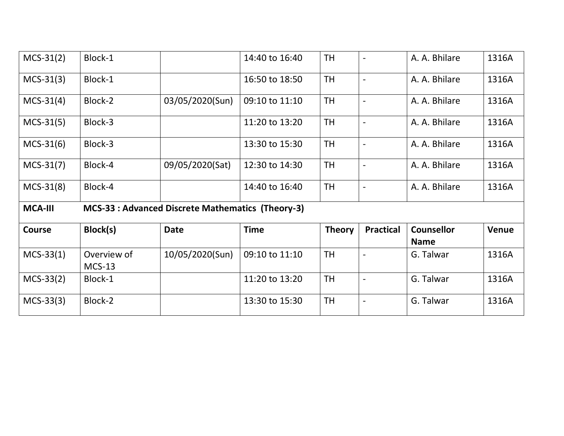| $MCS-31(2)$    | Block-1                 |                                                         | 14:40 to 16:40 | <b>TH</b>     |                          | A. A. Bhilare                    | 1316A        |
|----------------|-------------------------|---------------------------------------------------------|----------------|---------------|--------------------------|----------------------------------|--------------|
| $MCS-31(3)$    | Block-1                 |                                                         | 16:50 to 18:50 | <b>TH</b>     |                          | A. A. Bhilare                    | 1316A        |
| $MCS-31(4)$    | Block-2                 | 03/05/2020(Sun)                                         | 09:10 to 11:10 | <b>TH</b>     |                          | A. A. Bhilare                    | 1316A        |
| $MCS-31(5)$    | Block-3                 |                                                         | 11:20 to 13:20 | <b>TH</b>     |                          | A. A. Bhilare                    | 1316A        |
| $MCS-31(6)$    | Block-3                 |                                                         | 13:30 to 15:30 | <b>TH</b>     |                          | A. A. Bhilare                    | 1316A        |
| $MCS-31(7)$    | Block-4                 | 09/05/2020(Sat)                                         | 12:30 to 14:30 | <b>TH</b>     |                          | A. A. Bhilare                    | 1316A        |
| $MCS-31(8)$    | Block-4                 |                                                         | 14:40 to 16:40 | <b>TH</b>     | $\overline{\phantom{a}}$ | A. A. Bhilare                    | 1316A        |
| <b>MCA-III</b> |                         | <b>MCS-33: Advanced Discrete Mathematics (Theory-3)</b> |                |               |                          |                                  |              |
| <b>Course</b>  | Block(s)                | <b>Date</b>                                             | <b>Time</b>    | <b>Theory</b> | <b>Practical</b>         | <b>Counsellor</b><br><b>Name</b> | <b>Venue</b> |
| $MCS-33(1)$    | Overview of<br>$MCS-13$ | 10/05/2020(Sun)                                         | 09:10 to 11:10 | <b>TH</b>     | $\overline{\phantom{0}}$ | G. Talwar                        | 1316A        |
| $MCS-33(2)$    | Block-1                 |                                                         | 11:20 to 13:20 | <b>TH</b>     | $\overline{\phantom{a}}$ | G. Talwar                        | 1316A        |
| $MCS-33(3)$    | Block-2                 |                                                         | 13:30 to 15:30 | <b>TH</b>     |                          | G. Talwar                        | 1316A        |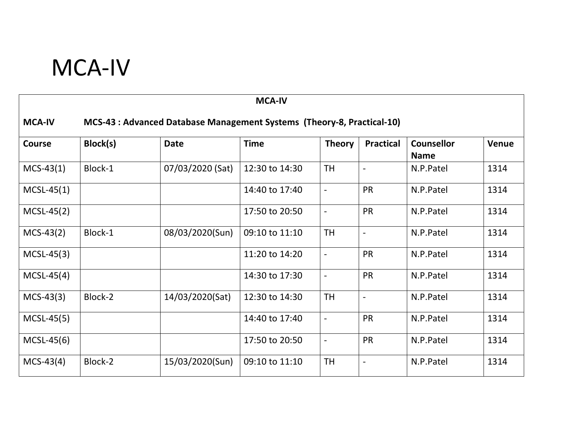# MCA-IV

|                                                                                         | <b>MCA-IV</b> |                  |                |                          |                          |                                  |              |  |  |  |
|-----------------------------------------------------------------------------------------|---------------|------------------|----------------|--------------------------|--------------------------|----------------------------------|--------------|--|--|--|
| <b>MCA-IV</b><br>MCS-43 : Advanced Database Management Systems (Theory-8, Practical-10) |               |                  |                |                          |                          |                                  |              |  |  |  |
| Course                                                                                  | Block(s)      | <b>Date</b>      | <b>Time</b>    | <b>Theory</b>            | <b>Practical</b>         | <b>Counsellor</b><br><b>Name</b> | <b>Venue</b> |  |  |  |
| $MCS-43(1)$                                                                             | Block-1       | 07/03/2020 (Sat) | 12:30 to 14:30 | <b>TH</b>                | $\qquad \qquad -$        | N.P.Patel                        | 1314         |  |  |  |
| $MCSL-45(1)$                                                                            |               |                  | 14:40 to 17:40 | $\overline{\phantom{0}}$ | <b>PR</b>                | N.P.Patel                        | 1314         |  |  |  |
| $MCSL-45(2)$                                                                            |               |                  | 17:50 to 20:50 |                          | <b>PR</b>                | N.P.Patel                        | 1314         |  |  |  |
| $MCS-43(2)$                                                                             | Block-1       | 08/03/2020(Sun)  | 09:10 to 11:10 | <b>TH</b>                | $\overline{\phantom{0}}$ | N.P.Patel                        | 1314         |  |  |  |
| $MCSL-45(3)$                                                                            |               |                  | 11:20 to 14:20 | $\blacksquare$           | <b>PR</b>                | N.P.Patel                        | 1314         |  |  |  |
| $MCSL-45(4)$                                                                            |               |                  | 14:30 to 17:30 | $\overline{a}$           | <b>PR</b>                | N.P.Patel                        | 1314         |  |  |  |
| $MCS-43(3)$                                                                             | Block-2       | 14/03/2020(Sat)  | 12:30 to 14:30 | <b>TH</b>                |                          | N.P.Patel                        | 1314         |  |  |  |
| $MCSL-45(5)$                                                                            |               |                  | 14:40 to 17:40 | $\overline{\phantom{0}}$ | <b>PR</b>                | N.P.Patel                        | 1314         |  |  |  |
| $MCSL-45(6)$                                                                            |               |                  | 17:50 to 20:50 | $\overline{a}$           | <b>PR</b>                | N.P.Patel                        | 1314         |  |  |  |
| $MCS-43(4)$                                                                             | Block-2       | 15/03/2020(Sun)  | 09:10 to 11:10 | <b>TH</b>                | $\overline{a}$           | N.P.Patel                        | 1314         |  |  |  |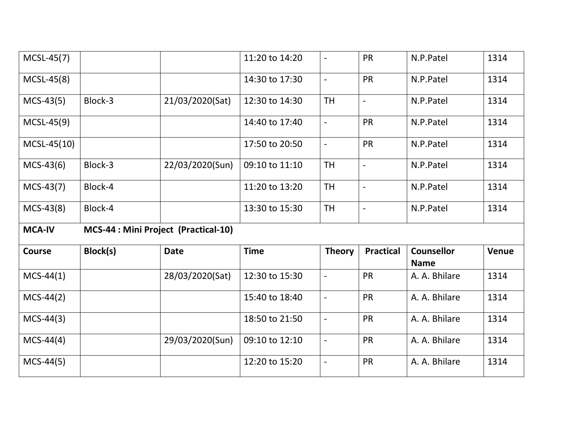| $MCSL-45(7)$  |                                      |                 | 11:20 to 14:20 | $\overline{\phantom{a}}$ | PR                       | N.P.Patel                        | 1314  |
|---------------|--------------------------------------|-----------------|----------------|--------------------------|--------------------------|----------------------------------|-------|
| $MCSL-45(8)$  |                                      |                 | 14:30 to 17:30 | $\overline{\phantom{a}}$ | <b>PR</b>                | N.P.Patel                        | 1314  |
| $MCS-43(5)$   | Block-3                              | 21/03/2020(Sat) | 12:30 to 14:30 | <b>TH</b>                | $\overline{\phantom{a}}$ | N.P.Patel                        | 1314  |
| $MCSL-45(9)$  |                                      |                 | 14:40 to 17:40 | $\blacksquare$           | <b>PR</b>                | N.P.Patel                        | 1314  |
| $MCSL-45(10)$ |                                      |                 | 17:50 to 20:50 | $\overline{\phantom{a}}$ | <b>PR</b>                | N.P.Patel                        | 1314  |
| $MCS-43(6)$   | Block-3                              | 22/03/2020(Sun) | 09:10 to 11:10 | <b>TH</b>                | $\overline{\phantom{a}}$ | N.P.Patel                        | 1314  |
| $MCS-43(7)$   | Block-4                              |                 | 11:20 to 13:20 | <b>TH</b>                | $\overline{a}$           | N.P.Patel                        | 1314  |
| $MCS-43(8)$   | Block-4                              |                 | 13:30 to 15:30 | <b>TH</b>                | $\overline{a}$           | N.P.Patel                        | 1314  |
|               |                                      |                 |                |                          |                          |                                  |       |
| <b>MCA-IV</b> | MCS-44 : Mini Project (Practical-10) |                 |                |                          |                          |                                  |       |
| <b>Course</b> | Block(s)                             | <b>Date</b>     | <b>Time</b>    | <b>Theory</b>            | <b>Practical</b>         | <b>Counsellor</b><br><b>Name</b> | Venue |
| $MCS-44(1)$   |                                      | 28/03/2020(Sat) | 12:30 to 15:30 | $\overline{\phantom{a}}$ | <b>PR</b>                | A. A. Bhilare                    | 1314  |
| $MCS-44(2)$   |                                      |                 | 15:40 to 18:40 | $\overline{\phantom{a}}$ | <b>PR</b>                | A. A. Bhilare                    | 1314  |
| $MCS-44(3)$   |                                      |                 | 18:50 to 21:50 | $\overline{\phantom{a}}$ | PR                       | A. A. Bhilare                    | 1314  |
| $MCS-44(4)$   |                                      | 29/03/2020(Sun) | 09:10 to 12:10 | $\overline{\phantom{a}}$ | <b>PR</b>                | A. A. Bhilare                    | 1314  |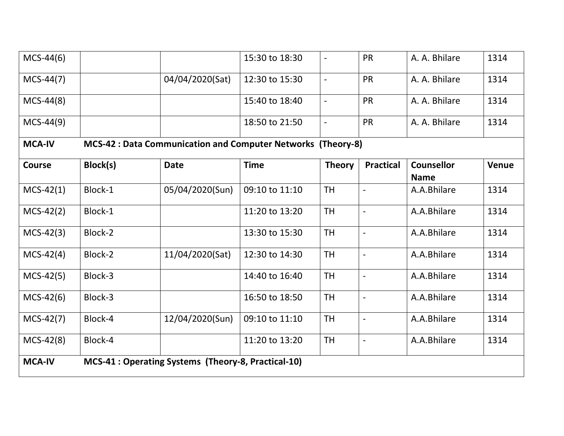| $MCS-44(6)$   |                                                     |                                                              | 15:30 to 18:30 |                          | <b>PR</b>                | A. A. Bhilare                    | 1314         |  |  |  |
|---------------|-----------------------------------------------------|--------------------------------------------------------------|----------------|--------------------------|--------------------------|----------------------------------|--------------|--|--|--|
| $MCS-44(7)$   |                                                     | 04/04/2020(Sat)                                              | 12:30 to 15:30 | $\blacksquare$           | <b>PR</b>                | A. A. Bhilare                    | 1314         |  |  |  |
| $MCS-44(8)$   |                                                     |                                                              | 15:40 to 18:40 | $\overline{\phantom{a}}$ | <b>PR</b>                | A. A. Bhilare                    | 1314         |  |  |  |
| $MCS-44(9)$   |                                                     |                                                              | 18:50 to 21:50 | $\overline{\phantom{a}}$ | <b>PR</b>                | A. A. Bhilare                    | 1314         |  |  |  |
| <b>MCA-IV</b> |                                                     | MCS-42 : Data Communication and Computer Networks (Theory-8) |                |                          |                          |                                  |              |  |  |  |
| <b>Course</b> | Block(s)                                            | <b>Date</b>                                                  | <b>Time</b>    | <b>Theory</b>            | <b>Practical</b>         | <b>Counsellor</b><br><b>Name</b> | <b>Venue</b> |  |  |  |
| $MCS-42(1)$   | Block-1                                             | 05/04/2020(Sun)                                              | 09:10 to 11:10 | <b>TH</b>                | $\overline{a}$           | A.A.Bhilare                      | 1314         |  |  |  |
| $MCS-42(2)$   | Block-1                                             |                                                              | 11:20 to 13:20 | <b>TH</b>                | $\blacksquare$           | A.A.Bhilare                      | 1314         |  |  |  |
| $MCS-42(3)$   | Block-2                                             |                                                              | 13:30 to 15:30 | <b>TH</b>                | $\overline{a}$           | A.A.Bhilare                      | 1314         |  |  |  |
| $MCS-42(4)$   | Block-2                                             | 11/04/2020(Sat)                                              | 12:30 to 14:30 | <b>TH</b>                | $\overline{a}$           | A.A.Bhilare                      | 1314         |  |  |  |
| $MCS-42(5)$   | Block-3                                             |                                                              | 14:40 to 16:40 | <b>TH</b>                | $\overline{a}$           | A.A.Bhilare                      | 1314         |  |  |  |
| $MCS-42(6)$   | Block-3                                             |                                                              | 16:50 to 18:50 | <b>TH</b>                | $\blacksquare$           | A.A.Bhilare                      | 1314         |  |  |  |
| $MCS-42(7)$   | Block-4                                             | 12/04/2020(Sun)                                              | 09:10 to 11:10 | <b>TH</b>                | $\overline{\phantom{a}}$ | A.A.Bhilare                      | 1314         |  |  |  |
| $MCS-42(8)$   | Block-4                                             |                                                              | 11:20 to 13:20 | <b>TH</b>                | $\overline{a}$           | A.A.Bhilare                      | 1314         |  |  |  |
| <b>MCA-IV</b> | MCS-41 : Operating Systems (Theory-8, Practical-10) |                                                              |                |                          |                          |                                  |              |  |  |  |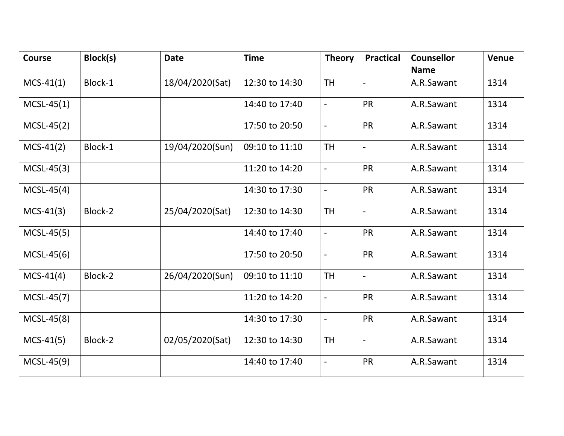| <b>Course</b> | Block(s) | <b>Date</b>     | <b>Time</b>    | <b>Theory</b>                | <b>Practical</b> | <b>Counsellor</b><br><b>Name</b> | Venue |
|---------------|----------|-----------------|----------------|------------------------------|------------------|----------------------------------|-------|
| $MCS-41(1)$   | Block-1  | 18/04/2020(Sat) | 12:30 to 14:30 | <b>TH</b>                    | $\overline{a}$   | A.R.Sawant                       | 1314  |
| $MCSL-45(1)$  |          |                 | 14:40 to 17:40 | $\blacksquare$               | <b>PR</b>        | A.R.Sawant                       | 1314  |
| $MCSL-45(2)$  |          |                 | 17:50 to 20:50 | $\overline{\phantom{a}}$     | PR               | A.R.Sawant                       | 1314  |
| $MCS-41(2)$   | Block-1  | 19/04/2020(Sun) | 09:10 to 11:10 | <b>TH</b>                    | $\overline{a}$   | A.R.Sawant                       | 1314  |
| $MCSL-45(3)$  |          |                 | 11:20 to 14:20 | $\overline{\phantom{a}}$     | PR               | A.R.Sawant                       | 1314  |
| $MCSL-45(4)$  |          |                 | 14:30 to 17:30 | $\blacksquare$               | PR               | A.R.Sawant                       | 1314  |
| $MCS-41(3)$   | Block-2  | 25/04/2020(Sat) | 12:30 to 14:30 | <b>TH</b>                    | $\overline{a}$   | A.R.Sawant                       | 1314  |
| $MCSL-45(5)$  |          |                 | 14:40 to 17:40 | $\overline{a}$               | <b>PR</b>        | A.R.Sawant                       | 1314  |
| $MCSL-45(6)$  |          |                 | 17:50 to 20:50 | $\overline{a}$               | <b>PR</b>        | A.R.Sawant                       | 1314  |
| $MCS-41(4)$   | Block-2  | 26/04/2020(Sun) | 09:10 to 11:10 | <b>TH</b>                    | $\frac{1}{2}$    | A.R.Sawant                       | 1314  |
| $MCSL-45(7)$  |          |                 | 11:20 to 14:20 | $\blacksquare$               | <b>PR</b>        | A.R.Sawant                       | 1314  |
| $MCSL-45(8)$  |          |                 | 14:30 to 17:30 | $\overline{\phantom{a}}$     | <b>PR</b>        | A.R.Sawant                       | 1314  |
| $MCS-41(5)$   | Block-2  | 02/05/2020(Sat) | 12:30 to 14:30 | <b>TH</b>                    | $\blacksquare$   | A.R.Sawant                       | 1314  |
| $MCSL-45(9)$  |          |                 | 14:40 to 17:40 | $\qquad \qquad \blacksquare$ | PR               | A.R.Sawant                       | 1314  |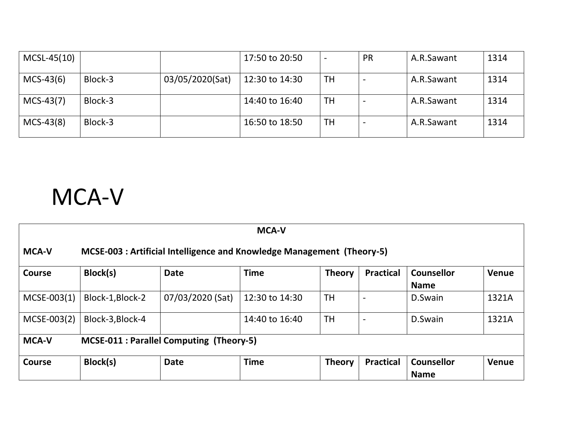| MCSL-45(10) |         |                 | 17:50 to 20:50 |           | <b>PR</b> | A.R.Sawant | 1314 |
|-------------|---------|-----------------|----------------|-----------|-----------|------------|------|
| $MCS-43(6)$ | Block-3 | 03/05/2020(Sat) | 12:30 to 14:30 | TH        |           | A.R.Sawant | 1314 |
| $MCS-43(7)$ | Block-3 |                 | 14:40 to 16:40 | <b>TH</b> |           | A.R.Sawant | 1314 |
| $MCS-43(8)$ | Block-3 |                 | 16:50 to 18:50 | <b>TH</b> |           | A.R.Sawant | 1314 |

# MCA-V

| <b>MCA-V</b>                                                                           |                  |                  |                |               |                  |                                  |       |  |  |
|----------------------------------------------------------------------------------------|------------------|------------------|----------------|---------------|------------------|----------------------------------|-------|--|--|
| <b>MCA-V</b><br>MCSE-003 : Artificial Intelligence and Knowledge Management (Theory-5) |                  |                  |                |               |                  |                                  |       |  |  |
| <b>Course</b>                                                                          | Block(s)         | <b>Date</b>      | <b>Time</b>    | <b>Theory</b> | <b>Practical</b> | <b>Counsellor</b><br><b>Name</b> | Venue |  |  |
| $MCSE-003(1)$                                                                          | Block-1, Block-2 | 07/03/2020 (Sat) | 12:30 to 14:30 | <b>TH</b>     |                  | D.Swain                          | 1321A |  |  |
| MCSE-003(2)                                                                            | Block-3, Block-4 |                  | 14:40 to 16:40 | <b>TH</b>     |                  | D.Swain                          | 1321A |  |  |
| <b>MCA-V</b><br><b>MCSE-011 : Parallel Computing (Theory-5)</b>                        |                  |                  |                |               |                  |                                  |       |  |  |
| <b>Course</b>                                                                          | Block(s)         | <b>Date</b>      | <b>Time</b>    | <b>Theory</b> | <b>Practical</b> | <b>Counsellor</b><br><b>Name</b> | Venue |  |  |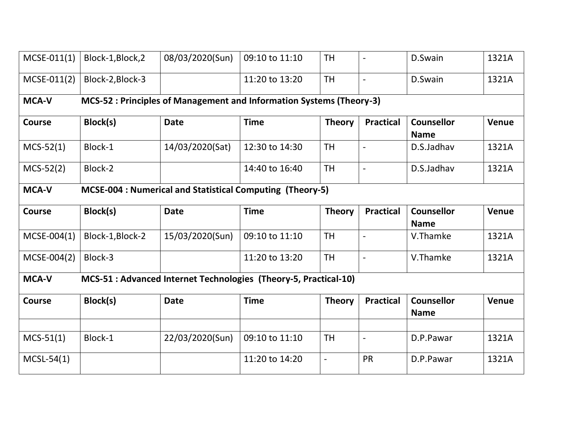| $MCSE-011(1)$                                                                    | Block-1, Block, 2 | 08/03/2020(Sun) | 09:10 to 11:10                                                       | <b>TH</b>                |                          | D.Swain                          | 1321A        |  |
|----------------------------------------------------------------------------------|-------------------|-----------------|----------------------------------------------------------------------|--------------------------|--------------------------|----------------------------------|--------------|--|
| $MCSE-011(2)$                                                                    | Block-2, Block-3  |                 | 11:20 to 13:20                                                       | <b>TH</b>                |                          | D.Swain                          | 1321A        |  |
| <b>MCA-V</b>                                                                     |                   |                 | MCS-52 : Principles of Management and Information Systems (Theory-3) |                          |                          |                                  |              |  |
| <b>Course</b>                                                                    | Block(s)          | <b>Date</b>     | <b>Time</b>                                                          | <b>Theory</b>            | <b>Practical</b>         | <b>Counsellor</b><br><b>Name</b> | Venue        |  |
| $MCS-52(1)$                                                                      | Block-1           | 14/03/2020(Sat) | 12:30 to 14:30                                                       | <b>TH</b>                | $\overline{\phantom{0}}$ | D.S.Jadhav                       | 1321A        |  |
| $MCS-52(2)$                                                                      | Block-2           |                 | 14:40 to 16:40                                                       | <b>TH</b>                |                          | D.S.Jadhav                       | 1321A        |  |
| <b>MCA-V</b>                                                                     |                   |                 | MCSE-004 : Numerical and Statistical Computing (Theory-5)            |                          |                          |                                  |              |  |
| <b>Course</b>                                                                    | Block(s)          | <b>Date</b>     | <b>Time</b>                                                          | <b>Theory</b>            | <b>Practical</b>         | <b>Counsellor</b><br><b>Name</b> | <b>Venue</b> |  |
| $MCSE-004(1)$                                                                    | Block-1, Block-2  | 15/03/2020(Sun) | 09:10 to 11:10                                                       | <b>TH</b>                |                          | V.Thamke                         | 1321A        |  |
| MCSE-004(2)                                                                      | Block-3           |                 | 11:20 to 13:20                                                       | <b>TH</b>                |                          | V.Thamke                         | 1321A        |  |
| MCS-51 : Advanced Internet Technologies (Theory-5, Practical-10)<br><b>MCA-V</b> |                   |                 |                                                                      |                          |                          |                                  |              |  |
| Course                                                                           | Block(s)          | <b>Date</b>     | <b>Time</b>                                                          | <b>Theory</b>            | <b>Practical</b>         | <b>Counsellor</b><br><b>Name</b> | <b>Venue</b> |  |
|                                                                                  |                   |                 |                                                                      |                          |                          |                                  |              |  |
| $MCS-51(1)$                                                                      | Block-1           | 22/03/2020(Sun) | 09:10 to 11:10                                                       | <b>TH</b>                | $\overline{a}$           | D.P.Pawar                        | 1321A        |  |
| $MCSL-54(1)$                                                                     |                   |                 | 11:20 to 14:20                                                       | $\overline{\phantom{0}}$ | PR                       | D.P.Pawar                        | 1321A        |  |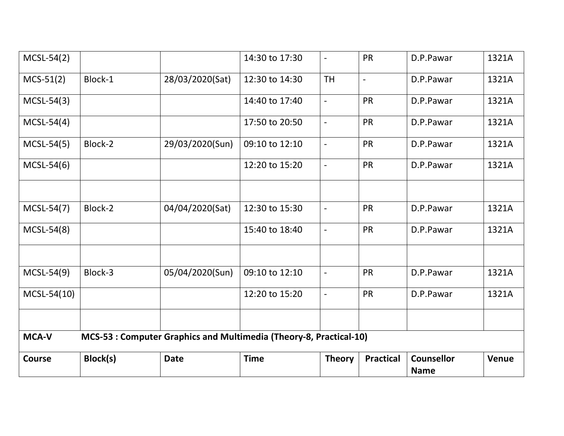| $MCSL-54(2)$  |                                                                    |                 | 14:30 to 17:30 | $\overline{\phantom{0}}$ | <b>PR</b>        | D.P.Pawar                        | 1321A        |  |  |  |
|---------------|--------------------------------------------------------------------|-----------------|----------------|--------------------------|------------------|----------------------------------|--------------|--|--|--|
| $MCS-51(2)$   | Block-1                                                            | 28/03/2020(Sat) | 12:30 to 14:30 | <b>TH</b>                | $\blacksquare$   | D.P.Pawar                        | 1321A        |  |  |  |
| $MCSL-54(3)$  |                                                                    |                 | 14:40 to 17:40 | $\overline{\phantom{a}}$ | <b>PR</b>        | D.P.Pawar                        | 1321A        |  |  |  |
| $MCSL-54(4)$  |                                                                    |                 | 17:50 to 20:50 | $\blacksquare$           | <b>PR</b>        | D.P.Pawar                        | 1321A        |  |  |  |
| $MCSL-54(5)$  | Block-2                                                            | 29/03/2020(Sun) | 09:10 to 12:10 | $\overline{\phantom{a}}$ | <b>PR</b>        | D.P.Pawar                        | 1321A        |  |  |  |
| $MCSL-54(6)$  |                                                                    |                 | 12:20 to 15:20 | $\blacksquare$           | PR               | D.P.Pawar                        | 1321A        |  |  |  |
|               |                                                                    |                 |                |                          |                  |                                  |              |  |  |  |
| MCSL-54(7)    | Block-2                                                            | 04/04/2020(Sat) | 12:30 to 15:30 | $\overline{\phantom{a}}$ | <b>PR</b>        | D.P.Pawar                        | 1321A        |  |  |  |
| $MCSL-54(8)$  |                                                                    |                 | 15:40 to 18:40 | $\overline{\phantom{a}}$ | <b>PR</b>        | D.P.Pawar                        | 1321A        |  |  |  |
|               |                                                                    |                 |                |                          |                  |                                  |              |  |  |  |
| MCSL-54(9)    | Block-3                                                            | 05/04/2020(Sun) | 09:10 to 12:10 | $\overline{a}$           | <b>PR</b>        | D.P.Pawar                        | 1321A        |  |  |  |
| $MCSL-54(10)$ |                                                                    |                 | 12:20 to 15:20 | $\blacksquare$           | <b>PR</b>        | D.P.Pawar                        | 1321A        |  |  |  |
|               |                                                                    |                 |                |                          |                  |                                  |              |  |  |  |
| <b>MCA-V</b>  | MCS-53 : Computer Graphics and Multimedia (Theory-8, Practical-10) |                 |                |                          |                  |                                  |              |  |  |  |
| <b>Course</b> | Block(s)                                                           | <b>Date</b>     | <b>Time</b>    | <b>Theory</b>            | <b>Practical</b> | <b>Counsellor</b><br><b>Name</b> | <b>Venue</b> |  |  |  |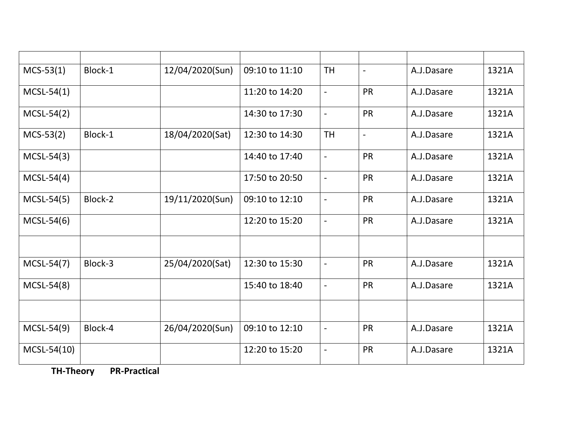| $MCS-53(1)$   | Block-1 | 12/04/2020(Sun) | 09:10 to 11:10 | <b>TH</b>                | $\overline{\phantom{a}}$ | A.J.Dasare | 1321A |
|---------------|---------|-----------------|----------------|--------------------------|--------------------------|------------|-------|
| $MCSL-54(1)$  |         |                 | 11:20 to 14:20 | $\blacksquare$           | <b>PR</b>                | A.J.Dasare | 1321A |
| $MCSL-54(2)$  |         |                 | 14:30 to 17:30 | $\overline{\phantom{a}}$ | PR                       | A.J.Dasare | 1321A |
| $MCS-53(2)$   | Block-1 | 18/04/2020(Sat) | 12:30 to 14:30 | <b>TH</b>                | $\overline{\phantom{a}}$ | A.J.Dasare | 1321A |
| $MCSL-54(3)$  |         |                 | 14:40 to 17:40 | $\overline{\phantom{a}}$ | PR                       | A.J.Dasare | 1321A |
| $MCSL-54(4)$  |         |                 | 17:50 to 20:50 | $\overline{\phantom{a}}$ | <b>PR</b>                | A.J.Dasare | 1321A |
| $MCSL-54(5)$  | Block-2 | 19/11/2020(Sun) | 09:10 to 12:10 | $\blacksquare$           | <b>PR</b>                | A.J.Dasare | 1321A |
| $MCSL-54(6)$  |         |                 | 12:20 to 15:20 | $\overline{\phantom{a}}$ | <b>PR</b>                | A.J.Dasare | 1321A |
|               |         |                 |                |                          |                          |            |       |
| MCSL-54(7)    | Block-3 | 25/04/2020(Sat) | 12:30 to 15:30 | $\overline{\phantom{a}}$ | PR                       | A.J.Dasare | 1321A |
| $MCSL-54(8)$  |         |                 | 15:40 to 18:40 | $\overline{\phantom{a}}$ | <b>PR</b>                | A.J.Dasare | 1321A |
|               |         |                 |                |                          |                          |            |       |
| MCSL-54(9)    | Block-4 | 26/04/2020(Sun) | 09:10 to 12:10 | $\overline{\phantom{a}}$ | <b>PR</b>                | A.J.Dasare | 1321A |
| $MCSL-54(10)$ |         |                 | 12:20 to 15:20 | $\overline{\phantom{a}}$ | <b>PR</b>                | A.J.Dasare | 1321A |

**TH-Theory PR-Practical**